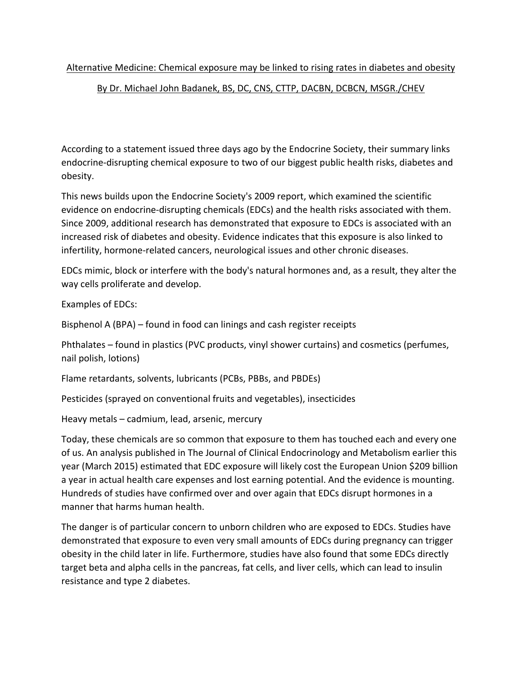## Alternative Medicine: Chemical exposure may be linked to rising rates in diabetes and obesity

## By Dr. Michael John Badanek, BS, DC, CNS, CTTP, DACBN, DCBCN, MSGR./CHEV

According to a statement issued three days ago by the Endocrine Society, their summary links endocrine-disrupting chemical exposure to two of our biggest public health risks, diabetes and obesity.

This news builds upon the Endocrine Society's 2009 report, which examined the scientific evidence on endocrine-disrupting chemicals (EDCs) and the health risks associated with them. Since 2009, additional research has demonstrated that exposure to EDCs is associated with an increased risk of diabetes and obesity. Evidence indicates that this exposure is also linked to infertility, hormone-related cancers, neurological issues and other chronic diseases.

EDCs mimic, block or interfere with the body's natural hormones and, as a result, they alter the way cells proliferate and develop.

Examples of EDCs:

Bisphenol A (BPA) – found in food can linings and cash register receipts

Phthalates – found in plastics (PVC products, vinyl shower curtains) and cosmetics (perfumes, nail polish, lotions)

Flame retardants, solvents, lubricants (PCBs, PBBs, and PBDEs)

Pesticides (sprayed on conventional fruits and vegetables), insecticides

Heavy metals – cadmium, lead, arsenic, mercury

Today, these chemicals are so common that exposure to them has touched each and every one of us. An analysis published in The Journal of Clinical Endocrinology and Metabolism earlier this year (March 2015) estimated that EDC exposure will likely cost the European Union \$209 billion a year in actual health care expenses and lost earning potential. And the evidence is mounting. Hundreds of studies have confirmed over and over again that EDCs disrupt hormones in a manner that harms human health.

The danger is of particular concern to unborn children who are exposed to EDCs. Studies have demonstrated that exposure to even very small amounts of EDCs during pregnancy can trigger obesity in the child later in life. Furthermore, studies have also found that some EDCs directly target beta and alpha cells in the pancreas, fat cells, and liver cells, which can lead to insulin resistance and type 2 diabetes.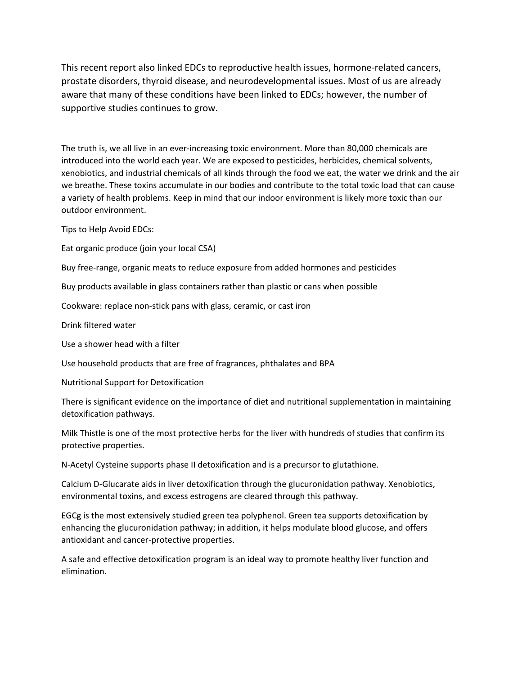This recent report also linked EDCs to reproductive health issues, hormone-related cancers, prostate disorders, thyroid disease, and neurodevelopmental issues. Most of us are already aware that many of these conditions have been linked to EDCs; however, the number of supportive studies continues to grow.

The truth is, we all live in an ever-increasing toxic environment. More than 80,000 chemicals are introduced into the world each year. We are exposed to pesticides, herbicides, chemical solvents, xenobiotics, and industrial chemicals of all kinds through the food we eat, the water we drink and the air we breathe. These toxins accumulate in our bodies and contribute to the total toxic load that can cause a variety of health problems. Keep in mind that our indoor environment is likely more toxic than our outdoor environment.

Tips to Help Avoid EDCs:

Eat organic produce (join your local CSA)

Buy free-range, organic meats to reduce exposure from added hormones and pesticides

Buy products available in glass containers rather than plastic or cans when possible

Cookware: replace non-stick pans with glass, ceramic, or cast iron

Drink filtered water

Use a shower head with a filter

Use household products that are free of fragrances, phthalates and BPA

Nutritional Support for Detoxification

There is significant evidence on the importance of diet and nutritional supplementation in maintaining detoxification pathways.

Milk Thistle is one of the most protective herbs for the liver with hundreds of studies that confirm its protective properties.

N-Acetyl Cysteine supports phase II detoxification and is a precursor to glutathione.

Calcium D-Glucarate aids in liver detoxification through the glucuronidation pathway. Xenobiotics, environmental toxins, and excess estrogens are cleared through this pathway.

EGCg is the most extensively studied green tea polyphenol. Green tea supports detoxification by enhancing the glucuronidation pathway; in addition, it helps modulate blood glucose, and offers antioxidant and cancer-protective properties.

A safe and effective detoxification program is an ideal way to promote healthy liver function and elimination.